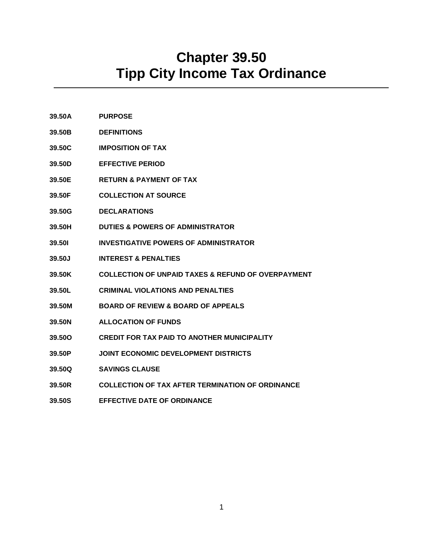# **Chapter 39.50 Tipp City Income Tax Ordinance**

- **39.50A PURPOSE**
- **39.50B DEFINITIONS**
- **39.50C IMPOSITION OF TAX**
- **39.50D EFFECTIVE PERIOD**
- **39.50E RETURN & PAYMENT OF TAX**
- **39.50F COLLECTION AT SOURCE**
- **39.50G DECLARATIONS**
- **39.50H DUTIES & POWERS OF ADMINISTRATOR**
- **39.50I INVESTIGATIVE POWERS OF ADMINISTRATOR**
- **39.50J INTEREST & PENALTIES**
- **39.50K COLLECTION OF UNPAID TAXES & REFUND OF OVERPAYMENT**
- **39.50L CRIMINAL VIOLATIONS AND PENALTIES**
- **39.50M BOARD OF REVIEW & BOARD OF APPEALS**
- **39.50N ALLOCATION OF FUNDS**
- **39.50O CREDIT FOR TAX PAID TO ANOTHER MUNICIPALITY**
- **39.50P JOINT ECONOMIC DEVELOPMENT DISTRICTS**
- **39.50Q SAVINGS CLAUSE**
- **39.50R COLLECTION OF TAX AFTER TERMINATION OF ORDINANCE**
- **39.50S EFFECTIVE DATE OF ORDINANCE**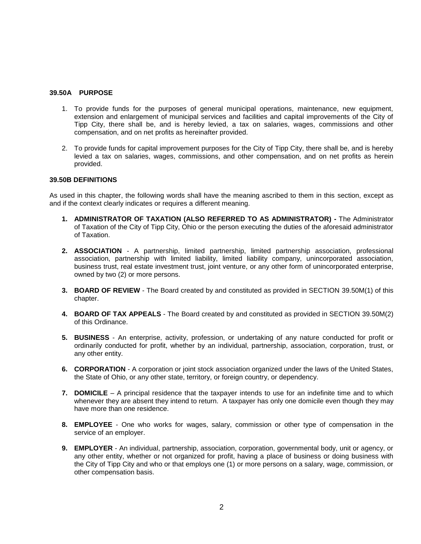## **39.50A PURPOSE**

- 1. To provide funds for the purposes of general municipal operations, maintenance, new equipment, extension and enlargement of municipal services and facilities and capital improvements of the City of Tipp City, there shall be, and is hereby levied, a tax on salaries, wages, commissions and other compensation, and on net profits as hereinafter provided.
- 2. To provide funds for capital improvement purposes for the City of Tipp City, there shall be, and is hereby levied a tax on salaries, wages, commissions, and other compensation, and on net profits as herein provided.

#### **39.50B DEFINITIONS**

As used in this chapter, the following words shall have the meaning ascribed to them in this section, except as and if the context clearly indicates or requires a different meaning.

- **1. ADMINISTRATOR OF TAXATION (ALSO REFERRED TO AS ADMINISTRATOR) -** The Administrator of Taxation of the City of Tipp City, Ohio or the person executing the duties of the aforesaid administrator of Taxation.
- **2. ASSOCIATION** A partnership, limited partnership, limited partnership association, professional association, partnership with limited liability, limited liability company, unincorporated association, business trust, real estate investment trust, joint venture, or any other form of unincorporated enterprise, owned by two (2) or more persons.
- **3. BOARD OF REVIEW** The Board created by and constituted as provided in SECTION 39.50M(1) of this chapter.
- **4. BOARD OF TAX APPEALS** The Board created by and constituted as provided in SECTION 39.50M(2) of this Ordinance.
- **5. BUSINESS**  An enterprise, activity, profession, or undertaking of any nature conducted for profit or ordinarily conducted for profit, whether by an individual, partnership, association, corporation, trust, or any other entity.
- **6. CORPORATION** A corporation or joint stock association organized under the laws of the United States, the State of Ohio, or any other state, territory, or foreign country, or dependency.
- **7. DOMICILE** A principal residence that the taxpayer intends to use for an indefinite time and to which whenever they are absent they intend to return. A taxpayer has only one domicile even though they may have more than one residence.
- **8. EMPLOYEE**  One who works for wages, salary, commission or other type of compensation in the service of an employer.
- **9. EMPLOYER** An individual, partnership, association, corporation, governmental body, unit or agency, or any other entity, whether or not organized for profit, having a place of business or doing business with the City of Tipp City and who or that employs one (1) or more persons on a salary, wage, commission, or other compensation basis.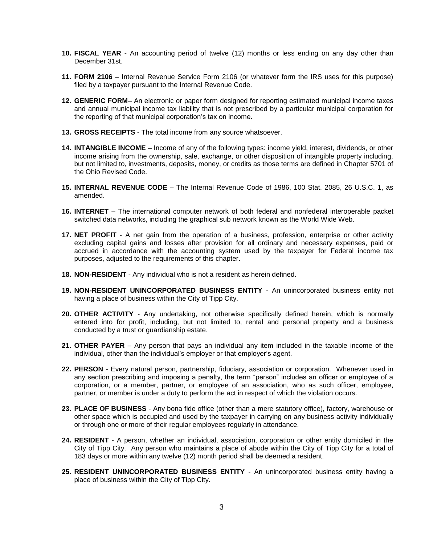- **10. FISCAL YEAR** An accounting period of twelve (12) months or less ending on any day other than December 31st.
- **11. FORM 2106** Internal Revenue Service Form 2106 (or whatever form the IRS uses for this purpose) filed by a taxpayer pursuant to the Internal Revenue Code.
- **12. GENERIC FORM** An electronic or paper form designed for reporting estimated municipal income taxes and annual municipal income tax liability that is not prescribed by a particular municipal corporation for the reporting of that municipal corporation's tax on income.
- **13. GROSS RECEIPTS** The total income from any source whatsoever.
- **14. INTANGIBLE INCOME** Income of any of the following types: income yield, interest, dividends, or other income arising from the ownership, sale, exchange, or other disposition of intangible property including, but not limited to, investments, deposits, money, or credits as those terms are defined in Chapter 5701 of the Ohio Revised Code.
- **15. INTERNAL REVENUE CODE** The Internal Revenue Code of 1986, 100 Stat. 2085, 26 U.S.C. 1, as amended.
- **16. INTERNET** The international computer network of both federal and nonfederal interoperable packet switched data networks, including the graphical sub network known as the World Wide Web.
- **17. NET PROFIT** A net gain from the operation of a business, profession, enterprise or other activity excluding capital gains and losses after provision for all ordinary and necessary expenses, paid or accrued in accordance with the accounting system used by the taxpayer for Federal income tax purposes, adjusted to the requirements of this chapter.
- **18. NON-RESIDENT** Any individual who is not a resident as herein defined.
- **19. NON-RESIDENT UNINCORPORATED BUSINESS ENTITY** An unincorporated business entity not having a place of business within the City of Tipp City.
- **20. OTHER ACTIVITY** Any undertaking, not otherwise specifically defined herein, which is normally entered into for profit, including, but not limited to, rental and personal property and a business conducted by a trust or guardianship estate.
- **21. OTHER PAYER** Any person that pays an individual any item included in the taxable income of the individual, other than the individual's employer or that employer's agent.
- **22. PERSON** Every natural person, partnership, fiduciary, association or corporation. Whenever used in any section prescribing and imposing a penalty, the term "person" includes an officer or employee of a corporation, or a member, partner, or employee of an association, who as such officer, employee, partner, or member is under a duty to perform the act in respect of which the violation occurs.
- **23. PLACE OF BUSINESS** Any bona fide office (other than a mere statutory office), factory, warehouse or other space which is occupied and used by the taxpayer in carrying on any business activity individually or through one or more of their regular employees regularly in attendance.
- **24. RESIDENT**  A person, whether an individual, association, corporation or other entity domiciled in the City of Tipp City. Any person who maintains a place of abode within the City of Tipp City for a total of 183 days or more within any twelve (12) month period shall be deemed a resident.
- **25. RESIDENT UNINCORPORATED BUSINESS ENTITY** An unincorporated business entity having a place of business within the City of Tipp City.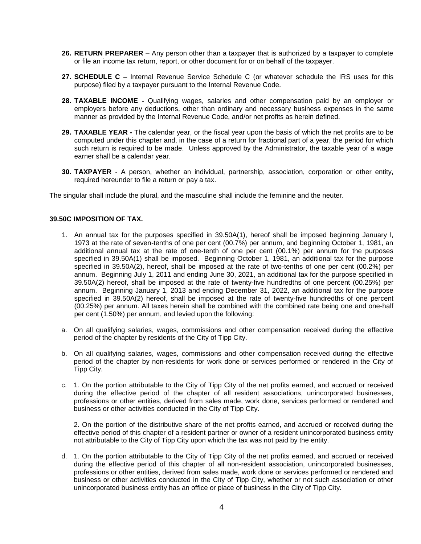- **26. RETURN PREPARER** Any person other than a taxpayer that is authorized by a taxpayer to complete or file an income tax return, report, or other document for or on behalf of the taxpayer.
- **27. SCHEDULE C** Internal Revenue Service Schedule C (or whatever schedule the IRS uses for this purpose) filed by a taxpayer pursuant to the Internal Revenue Code.
- **28. TAXABLE INCOME -** Qualifying wages, salaries and other compensation paid by an employer or employers before any deductions, other than ordinary and necessary business expenses in the same manner as provided by the Internal Revenue Code, and/or net profits as herein defined.
- **29. TAXABLE YEAR -** The calendar year, or the fiscal year upon the basis of which the net profits are to be computed under this chapter and, in the case of a return for fractional part of a year, the period for which such return is required to be made. Unless approved by the Administrator, the taxable year of a wage earner shall be a calendar year.
- **30. TAXPAYER** A person, whether an individual, partnership, association, corporation or other entity, required hereunder to file a return or pay a tax.

The singular shall include the plural, and the masculine shall include the feminine and the neuter.

#### **39.50C IMPOSITION OF TAX.**

- 1. An annual tax for the purposes specified in 39.50A(1), hereof shall be imposed beginning January l, 1973 at the rate of seven-tenths of one per cent (00.7%) per annum, and beginning October 1, 1981, an additional annual tax at the rate of one-tenth of one per cent (00.1%) per annum for the purposes specified in 39.50A(1) shall be imposed. Beginning October 1, 1981, an additional tax for the purpose specified in 39.50A(2), hereof, shall be imposed at the rate of two-tenths of one per cent (00.2%) per annum. Beginning July 1, 2011 and ending June 30, 2021, an additional tax for the purpose specified in 39.50A(2) hereof, shall be imposed at the rate of twenty-five hundredths of one percent (00.25%) per annum. Beginning January 1, 2013 and ending December 31, 2022, an additional tax for the purpose specified in 39.50A(2) hereof, shall be imposed at the rate of twenty-five hundredths of one percent (00.25%) per annum. All taxes herein shall be combined with the combined rate being one and one-half per cent (1.50%) per annum, and levied upon the following:
- a. On all qualifying salaries, wages, commissions and other compensation received during the effective period of the chapter by residents of the City of Tipp City.
- b. On all qualifying salaries, wages, commissions and other compensation received during the effective period of the chapter by non-residents for work done or services performed or rendered in the City of Tipp City.
- c. 1. On the portion attributable to the City of Tipp City of the net profits earned, and accrued or received during the effective period of the chapter of all resident associations, unincorporated businesses, professions or other entities, derived from sales made, work done, services performed or rendered and business or other activities conducted in the City of Tipp City.

2. On the portion of the distributive share of the net profits earned, and accrued or received during the effective period of this chapter of a resident partner or owner of a resident unincorporated business entity not attributable to the City of Tipp City upon which the tax was not paid by the entity.

d. 1. On the portion attributable to the City of Tipp City of the net profits earned, and accrued or received during the effective period of this chapter of all non-resident association, unincorporated businesses, professions or other entities, derived from sales made, work done or services performed or rendered and business or other activities conducted in the City of Tipp City, whether or not such association or other unincorporated business entity has an office or place of business in the City of Tipp City.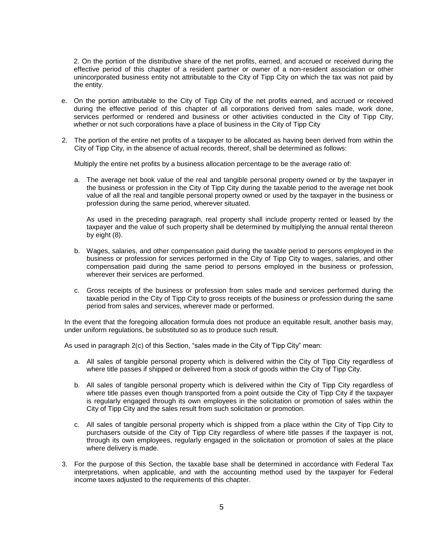2. On the portion of the distributive share of the net profits, earned, and accrued or received during the effective period of this chapter of a resident partner or owner of a non-resident association or other unincorporated business entity not attributable to the City of Tipp City on which the tax was not paid by the entity.

- e. On the portion attributable to the City of Tipp City of the net profits earned, and accrued or received during the effective period of this chapter of all corporations derived from sales made, work done, services performed or rendered and business or other activities conducted in the City of Tipp City, whether or not such corporations have a place of business in the City of Tipp City
- 2. The portion of the entire net profits of a taxpayer to be allocated as having been derived from within the City of Tipp City, in the absence of actual records, thereof, shall be determined as follows:

Multiply the entire net profits by a business allocation percentage to be the average ratio of:

a. The average net book value of the real and tangible personal property owned or by the taxpayer in the business or profession in the City of Tipp City during the taxable period to the average net book value of all the real and tangible personal property owned or used by the taxpayer in the business or profession during the same period, wherever situated.

As used in the preceding paragraph, real property shall include property rented or leased by the taxpayer and the value of such property shall be determined by multiplying the annual rental thereon by eight (8).

- b. Wages, salaries, and other compensation paid during the taxable period to persons employed in the business or profession for services performed in the City of Tipp City to wages, salaries, and other compensation paid during the same period to persons employed in the business or profession, wherever their services are performed.
- c. Gross receipts of the business or profession from sales made and services performed during the taxable period in the City of Tipp City to gross receipts of the business or profession during the same period from sales and services, wherever made or performed.

In the event that the foregoing allocation formula does not produce an equitable result, another basis may, under uniform regulations, be substituted so as to produce such result.

As used in paragraph 2(c) of this Section, "sales made in the City of Tipp City" mean:

- a. All sales of tangible personal property which is delivered within the City of Tipp City regardless of where title passes if shipped or delivered from a stock of goods within the City of Tipp City.
- b. All sales of tangible personal property which is delivered within the City of Tipp City regardless of where title passes even though transported from a point outside the City of Tipp City if the taxpayer is regularly engaged through its own employees in the solicitation or promotion of sales within the City of Tipp City and the sales result from such solicitation or promotion.
- c. All sales of tangible personal property which is shipped from a place within the City of Tipp City to purchasers outside of the City of Tipp City regardless of where title passes if the taxpayer is not, through its own employees, regularly engaged in the solicitation or promotion of sales at the place where delivery is made.
- 3. For the purpose of this Section, the taxable base shall be determined in accordance with Federal Tax interpretations, when applicable, and with the accounting method used by the taxpayer for Federal income taxes adjusted to the requirements of this chapter.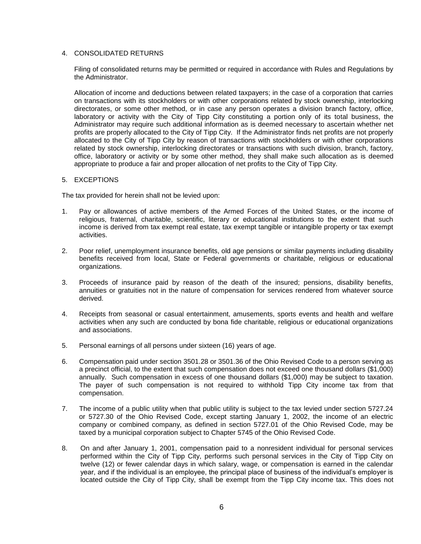## 4. CONSOLIDATED RETURNS

Filing of consolidated returns may be permitted or required in accordance with Rules and Regulations by the Administrator.

Allocation of income and deductions between related taxpayers; in the case of a corporation that carries on transactions with its stockholders or with other corporations related by stock ownership, interlocking directorates, or some other method, or in case any person operates a division branch factory, office, laboratory or activity with the City of Tipp City constituting a portion only of its total business, the Administrator may require such additional information as is deemed necessary to ascertain whether net profits are properly allocated to the City of Tipp City. If the Administrator finds net profits are not properly allocated to the City of Tipp City by reason of transactions with stockholders or with other corporations related by stock ownership, interlocking directorates or transactions with such division, branch, factory, office, laboratory or activity or by some other method, they shall make such allocation as is deemed appropriate to produce a fair and proper allocation of net profits to the City of Tipp City.

#### 5. EXCEPTIONS

The tax provided for herein shall not be levied upon:

- 1. Pay or allowances of active members of the Armed Forces of the United States, or the income of religious, fraternal, charitable, scientific, literary or educational institutions to the extent that such income is derived from tax exempt real estate, tax exempt tangible or intangible property or tax exempt activities.
- 2. Poor relief, unemployment insurance benefits, old age pensions or similar payments including disability benefits received from local, State or Federal governments or charitable, religious or educational organizations.
- 3. Proceeds of insurance paid by reason of the death of the insured; pensions, disability benefits, annuities or gratuities not in the nature of compensation for services rendered from whatever source derived.
- 4. Receipts from seasonal or casual entertainment, amusements, sports events and health and welfare activities when any such are conducted by bona fide charitable, religious or educational organizations and associations.
- 5. Personal earnings of all persons under sixteen (16) years of age.
- 6. Compensation paid under section 3501.28 or 3501.36 of the Ohio Revised Code to a person serving as a precinct official, to the extent that such compensation does not exceed one thousand dollars (\$1,000) annually. Such compensation in excess of one thousand dollars (\$1,000) may be subject to taxation. The payer of such compensation is not required to withhold Tipp City income tax from that compensation.
- 7. The income of a public utility when that public utility is subject to the tax levied under section 5727.24 or 5727.30 of the Ohio Revised Code, except starting January 1, 2002, the income of an electric company or combined company, as defined in section 5727.01 of the Ohio Revised Code, may be taxed by a municipal corporation subject to Chapter 5745 of the Ohio Revised Code.
- 8. On and after January 1, 2001, compensation paid to a nonresident individual for personal services performed within the City of Tipp City, performs such personal services in the City of Tipp City on twelve (12) or fewer calendar days in which salary, wage, or compensation is earned in the calendar year, and if the individual is an employee, the principal place of business of the individual's employer is located outside the City of Tipp City, shall be exempt from the Tipp City income tax. This does not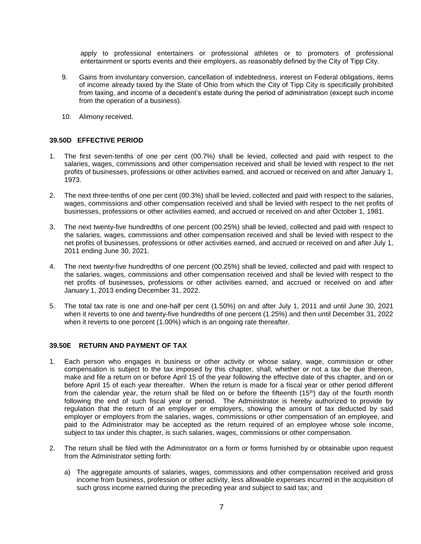apply to professional entertainers or professional athletes or to promoters of professional entertainment or sports events and their employers, as reasonably defined by the City of Tipp City.

- 9. Gains from involuntary conversion, cancellation of indebtedness, interest on Federal obligations, items of income already taxed by the State of Ohio from which the City of Tipp City is specifically prohibited from taxing, and income of a decedent's estate during the period of administration (except such income from the operation of a business).
- 10. Alimony received.

# **39.50D EFFECTIVE PERIOD**

- 1. The first seven-tenths of one per cent (00.7%) shall be levied, collected and paid with respect to the salaries, wages, commissions and other compensation received and shall be levied with respect to the net profits of businesses, professions or other activities earned, and accrued or received on and after January 1, 1973.
- 2. The next three-tenths of one per cent (00.3%) shall be levied, collected and paid with respect to the salaries, wages, commissions and other compensation received and shall be levied with respect to the net profits of businesses, professions or other activities earned, and accrued or received on and after October 1, 1981.
- 3. The next twenty-five hundredths of one percent (00.25%) shall be levied, collected and paid with respect to the salaries, wages, commissions and other compensation received and shall be levied with respect to the net profits of businesses, professions or other activities earned, and accrued or received on and after July 1, 2011 ending June 30, 2021.
- 4. The next twenty-five hundredths of one percent (00.25%) shall be levied, collected and paid with respect to the salaries, wages, commissions and other compensation received and shall be levied with respect to the net profits of businesses, professions or other activities earned, and accrued or received on and after January 1, 2013 ending December 31, 2022.
- 5. The total tax rate is one and one-half per cent (1.50%) on and after July 1, 2011 and until June 30, 2021 when it reverts to one and twenty-five hundredths of one percent (1.25%) and then until December 31, 2022 when it reverts to one percent (1.00%) which is an ongoing rate thereafter.

#### **39.50E RETURN AND PAYMENT OF TAX**

- 1. Each person who engages in business or other activity or whose salary, wage, commission or other compensation is subject to the tax imposed by this chapter, shall, whether or not a tax be due thereon, make and file a return on or before April 15 of the year following the effective date of this chapter, and on or before April 15 of each year thereafter. When the return is made for a fiscal year or other period different from the calendar year, the return shall be filed on or before the fifteenth (15<sup>th</sup>) day of the fourth month following the end of such fiscal year or period. The Administrator is hereby authorized to provide by regulation that the return of an employer or employers, showing the amount of tax deducted by said employer or employers from the salaries, wages, commissions or other compensation of an employee, and paid to the Administrator may be accepted as the return required of an employee whose sole income, subject to tax under this chapter, is such salaries, wages, commissions or other compensation.
- 2. The return shall be filed with the Administrator on a form or forms furnished by or obtainable upon request from the Administrator setting forth:
	- a) The aggregate amounts of salaries, wages, commissions and other compensation received and gross income from business, profession or other activity, less allowable expenses incurred in the acquisition of such gross income earned during the preceding year and subject to said tax; and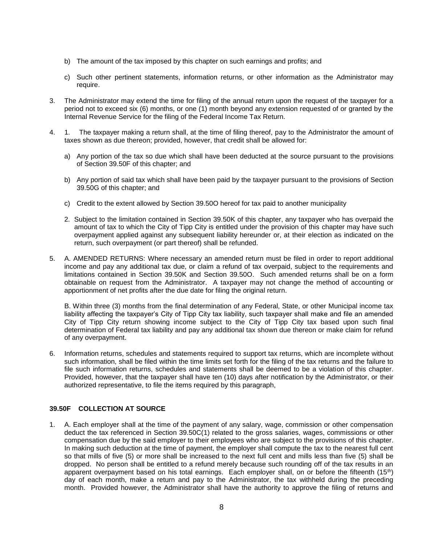- b) The amount of the tax imposed by this chapter on such earnings and profits; and
- c) Such other pertinent statements, information returns, or other information as the Administrator may require.
- 3. The Administrator may extend the time for filing of the annual return upon the request of the taxpayer for a period not to exceed six (6) months, or one (1) month beyond any extension requested of or granted by the Internal Revenue Service for the filing of the Federal Income Tax Return.
- 4. 1. The taxpayer making a return shall, at the time of filing thereof, pay to the Administrator the amount of taxes shown as due thereon; provided, however, that credit shall be allowed for:
	- a) Any portion of the tax so due which shall have been deducted at the source pursuant to the provisions of Section 39.50F of this chapter; and
	- b) Any portion of said tax which shall have been paid by the taxpayer pursuant to the provisions of Section 39.50G of this chapter; and
	- c) Credit to the extent allowed by Section 39.50O hereof for tax paid to another municipality
	- 2. Subject to the limitation contained in Section 39.50K of this chapter, any taxpayer who has overpaid the amount of tax to which the City of Tipp City is entitled under the provision of this chapter may have such overpayment applied against any subsequent liability hereunder or, at their election as indicated on the return, such overpayment (or part thereof) shall be refunded.
- 5. A. AMENDED RETURNS: Where necessary an amended return must be filed in order to report additional income and pay any additional tax due, or claim a refund of tax overpaid, subject to the requirements and limitations contained in Section 39.50K and Section 39.50O. Such amended returns shall be on a form obtainable on request from the Administrator. A taxpayer may not change the method of accounting or apportionment of net profits after the due date for filing the original return.

B. Within three (3) months from the final determination of any Federal, State, or other Municipal income tax liability affecting the taxpayer's City of Tipp City tax liability, such taxpayer shall make and file an amended City of Tipp City return showing income subject to the City of Tipp City tax based upon such final determination of Federal tax liability and pay any additional tax shown due thereon or make claim for refund of any overpayment.

6. Information returns, schedules and statements required to support tax returns, which are incomplete without such information, shall be filed within the time limits set forth for the filing of the tax returns and the failure to file such information returns, schedules and statements shall be deemed to be a violation of this chapter. Provided, however, that the taxpayer shall have ten (10) days after notification by the Administrator, or their authorized representative, to file the items required by this paragraph,

## **39.50F COLLECTION AT SOURCE**

1. A. Each employer shall at the time of the payment of any salary, wage, commission or other compensation deduct the tax referenced in Section 39.50C(1) related to the gross salaries, wages, commissions or other compensation due by the said employer to their employees who are subject to the provisions of this chapter. In making such deduction at the time of payment, the employer shall compute the tax to the nearest full cent so that mills of five (5) or more shall be increased to the next full cent and mills less than five (5) shall be dropped. No person shall be entitled to a refund merely because such rounding off of the tax results in an apparent overpayment based on his total earnings. Each employer shall, on or before the fifteenth (15<sup>th</sup>) day of each month, make a return and pay to the Administrator, the tax withheld during the preceding month. Provided however, the Administrator shall have the authority to approve the filing of returns and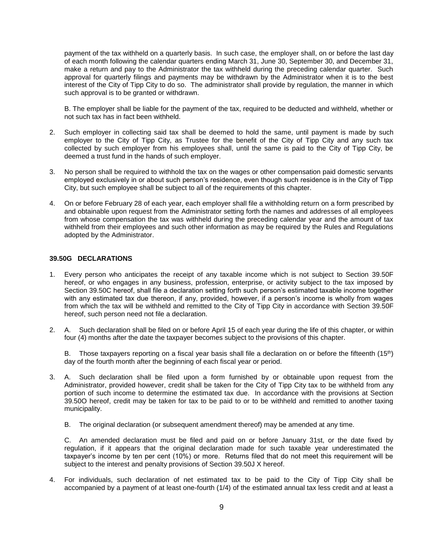payment of the tax withheld on a quarterly basis. In such case, the employer shall, on or before the last day of each month following the calendar quarters ending March 31, June 30, September 30, and December 31, make a return and pay to the Administrator the tax withheld during the preceding calendar quarter. Such approval for quarterly filings and payments may be withdrawn by the Administrator when it is to the best interest of the City of Tipp City to do so. The administrator shall provide by regulation, the manner in which such approval is to be granted or withdrawn.

B. The employer shall be liable for the payment of the tax, required to be deducted and withheld, whether or not such tax has in fact been withheld.

- 2. Such employer in collecting said tax shall be deemed to hold the same, until payment is made by such employer to the City of Tipp City, as Trustee for the benefit of the City of Tipp City and any such tax collected by such employer from his employees shall, until the same is paid to the City of Tipp City, be deemed a trust fund in the hands of such employer.
- 3. No person shall be required to withhold the tax on the wages or other compensation paid domestic servants employed exclusively in or about such person's residence, even though such residence is in the City of Tipp City, but such employee shall be subject to all of the requirements of this chapter.
- 4. On or before February 28 of each year, each employer shall file a withholding return on a form prescribed by and obtainable upon request from the Administrator setting forth the names and addresses of all employees from whose compensation the tax was withheld during the preceding calendar year and the amount of tax withheld from their employees and such other information as may be required by the Rules and Regulations adopted by the Administrator.

## **39.50G DECLARATIONS**

- 1. Every person who anticipates the receipt of any taxable income which is not subject to Section 39.50F hereof, or who engages in any business, profession, enterprise, or activity subject to the tax imposed by Section 39.50C hereof, shall file a declaration setting forth such person's estimated taxable income together with any estimated tax due thereon, if any, provided, however, if a person's income is wholly from wages from which the tax will be withheld and remitted to the City of Tipp City in accordance with Section 39.50F hereof, such person need not file a declaration.
- 2. A. Such declaration shall be filed on or before April 15 of each year during the life of this chapter, or within four (4) months after the date the taxpayer becomes subject to the provisions of this chapter.

B. Those taxpayers reporting on a fiscal year basis shall file a declaration on or before the fifteenth (15<sup>th</sup>) day of the fourth month after the beginning of each fiscal year or period.

- 3. A. Such declaration shall be filed upon a form furnished by or obtainable upon request from the Administrator, provided however, credit shall be taken for the City of Tipp City tax to be withheld from any portion of such income to determine the estimated tax due. In accordance with the provisions at Section 39.50O hereof, credit may be taken for tax to be paid to or to be withheld and remitted to another taxing municipality.
	- B. The original declaration (or subsequent amendment thereof) may be amended at any time.

C. An amended declaration must be filed and paid on or before January 31st, or the date fixed by regulation, if it appears that the original declaration made for such taxable year underestimated the taxpayer's income by ten per cent (10%) or more. Returns filed that do not meet this requirement will be subject to the interest and penalty provisions of Section 39.50J X hereof.

4. For individuals, such declaration of net estimated tax to be paid to the City of Tipp City shall be accompanied by a payment of at least one-fourth (1/4) of the estimated annual tax less credit and at least a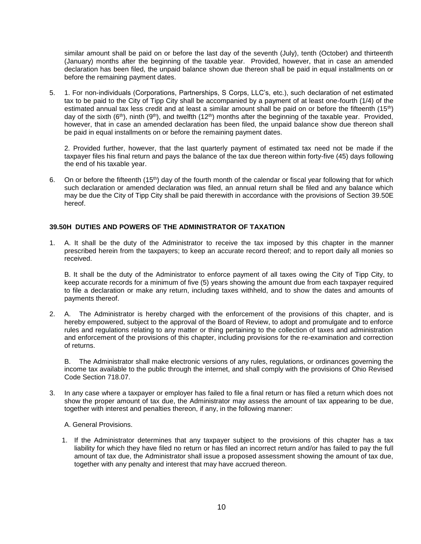similar amount shall be paid on or before the last day of the seventh (July), tenth (October) and thirteenth (January) months after the beginning of the taxable year. Provided, however, that in case an amended declaration has been filed, the unpaid balance shown due thereon shall be paid in equal installments on or before the remaining payment dates.

5. 1. For non-individuals (Corporations, Partnerships, S Corps, LLC's, etc.), such declaration of net estimated tax to be paid to the City of Tipp City shall be accompanied by a payment of at least one-fourth (1/4) of the estimated annual tax less credit and at least a similar amount shall be paid on or before the fifteenth (15th) day of the sixth (6<sup>th</sup>), ninth (9<sup>th</sup>), and twelfth (12<sup>th</sup>) months after the beginning of the taxable year. Provided, however, that in case an amended declaration has been filed, the unpaid balance show due thereon shall be paid in equal installments on or before the remaining payment dates.

2. Provided further, however, that the last quarterly payment of estimated tax need not be made if the taxpayer files his final return and pays the balance of the tax due thereon within forty-five (45) days following the end of his taxable year.

6. On or before the fifteenth (15th) day of the fourth month of the calendar or fiscal year following that for which such declaration or amended declaration was filed, an annual return shall be filed and any balance which may be due the City of Tipp City shall be paid therewith in accordance with the provisions of Section 39.50E hereof.

## **39.50H DUTIES AND POWERS OF THE ADMINISTRATOR OF TAXATION**

1. A. It shall be the duty of the Administrator to receive the tax imposed by this chapter in the manner prescribed herein from the taxpayers; to keep an accurate record thereof; and to report daily all monies so received.

B. It shall be the duty of the Administrator to enforce payment of all taxes owing the City of Tipp City, to keep accurate records for a minimum of five (5) years showing the amount due from each taxpayer required to file a declaration or make any return, including taxes withheld, and to show the dates and amounts of payments thereof.

2. A. The Administrator is hereby charged with the enforcement of the provisions of this chapter, and is hereby empowered, subject to the approval of the Board of Review, to adopt and promulgate and to enforce rules and regulations relating to any matter or thing pertaining to the collection of taxes and administration and enforcement of the provisions of this chapter, including provisions for the re-examination and correction of returns.

B. The Administrator shall make electronic versions of any rules, regulations, or ordinances governing the income tax available to the public through the internet, and shall comply with the provisions of Ohio Revised Code Section 718.07.

3. In any case where a taxpayer or employer has failed to file a final return or has filed a return which does not show the proper amount of tax due, the Administrator may assess the amount of tax appearing to be due, together with interest and penalties thereon, if any, in the following manner:

A. General Provisions.

1. If the Administrator determines that any taxpayer subject to the provisions of this chapter has a tax liability for which they have filed no return or has filed an incorrect return and/or has failed to pay the full amount of tax due, the Administrator shall issue a proposed assessment showing the amount of tax due, together with any penalty and interest that may have accrued thereon.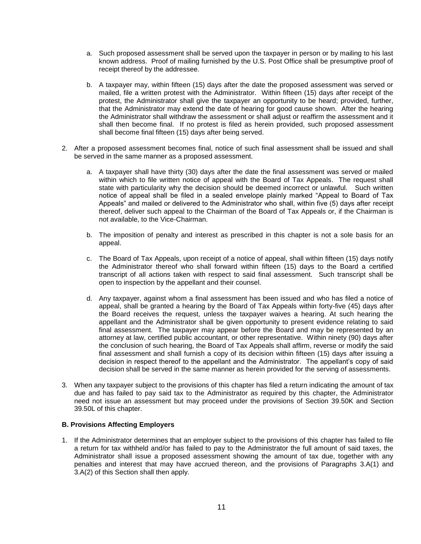- a. Such proposed assessment shall be served upon the taxpayer in person or by mailing to his last known address. Proof of mailing furnished by the U.S. Post Office shall be presumptive proof of receipt thereof by the addressee.
- b. A taxpayer may, within fifteen (15) days after the date the proposed assessment was served or mailed, file a written protest with the Administrator. Within fifteen (15) days after receipt of the protest, the Administrator shall give the taxpayer an opportunity to be heard; provided, further, that the Administrator may extend the date of hearing for good cause shown. After the hearing the Administrator shall withdraw the assessment or shall adjust or reaffirm the assessment and it shall then become final. If no protest is filed as herein provided, such proposed assessment shall become final fifteen (15) days after being served.
- 2. After a proposed assessment becomes final, notice of such final assessment shall be issued and shall be served in the same manner as a proposed assessment.
	- a. A taxpayer shall have thirty (30) days after the date the final assessment was served or mailed within which to file written notice of appeal with the Board of Tax Appeals. The request shall state with particularity why the decision should be deemed incorrect or unlawful. Such written notice of appeal shall be filed in a sealed envelope plainly marked "Appeal to Board of Tax Appeals" and mailed or delivered to the Administrator who shall, within five (5) days after receipt thereof, deliver such appeal to the Chairman of the Board of Tax Appeals or, if the Chairman is not available, to the Vice-Chairman.
	- b. The imposition of penalty and interest as prescribed in this chapter is not a sole basis for an appeal.
	- c. The Board of Tax Appeals, upon receipt of a notice of appeal, shall within fifteen (15) days notify the Administrator thereof who shall forward within fifteen (15) days to the Board a certified transcript of all actions taken with respect to said final assessment. Such transcript shall be open to inspection by the appellant and their counsel.
	- d. Any taxpayer, against whom a final assessment has been issued and who has filed a notice of appeal, shall be granted a hearing by the Board of Tax Appeals within forty-five (45) days after the Board receives the request, unless the taxpayer waives a hearing. At such hearing the appellant and the Administrator shall be given opportunity to present evidence relating to said final assessment. The taxpayer may appear before the Board and may be represented by an attorney at law, certified public accountant, or other representative. Within ninety (90) days after the conclusion of such hearing, the Board of Tax Appeals shall affirm, reverse or modify the said final assessment and shall furnish a copy of its decision within fifteen (15) days after issuing a decision in respect thereof to the appellant and the Administrator. The appellant's copy of said decision shall be served in the same manner as herein provided for the serving of assessments.
- 3. When any taxpayer subject to the provisions of this chapter has filed a return indicating the amount of tax due and has failed to pay said tax to the Administrator as required by this chapter, the Administrator need not issue an assessment but may proceed under the provisions of Section 39.50K and Section 39.50L of this chapter.

#### **B. Provisions Affecting Employers**

1. If the Administrator determines that an employer subject to the provisions of this chapter has failed to file a return for tax withheld and/or has failed to pay to the Administrator the full amount of said taxes, the Administrator shall issue a proposed assessment showing the amount of tax due, together with any penalties and interest that may have accrued thereon, and the provisions of Paragraphs 3.A(1) and 3.A(2) of this Section shall then apply.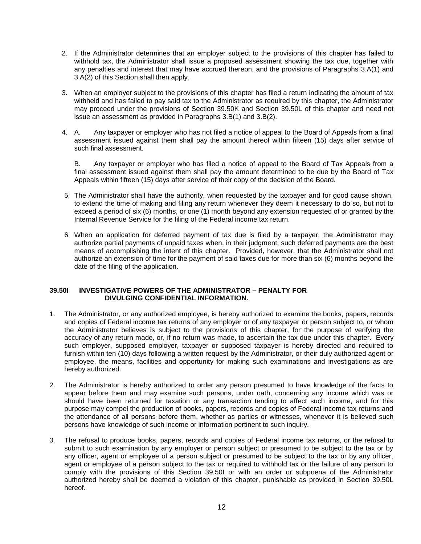- 2. If the Administrator determines that an employer subject to the provisions of this chapter has failed to withhold tax, the Administrator shall issue a proposed assessment showing the tax due, together with any penalties and interest that may have accrued thereon, and the provisions of Paragraphs 3.A(1) and 3.A(2) of this Section shall then apply.
- 3. When an employer subject to the provisions of this chapter has filed a return indicating the amount of tax withheld and has failed to pay said tax to the Administrator as required by this chapter, the Administrator may proceed under the provisions of Section 39.50K and Section 39.50L of this chapter and need not issue an assessment as provided in Paragraphs 3.B(1) and 3.B(2).
- 4. A. Any taxpayer or employer who has not filed a notice of appeal to the Board of Appeals from a final assessment issued against them shall pay the amount thereof within fifteen (15) days after service of such final assessment.

B. Any taxpayer or employer who has filed a notice of appeal to the Board of Tax Appeals from a final assessment issued against them shall pay the amount determined to be due by the Board of Tax Appeals within fifteen (15) days after service of their copy of the decision of the Board.

- 5. The Administrator shall have the authority, when requested by the taxpayer and for good cause shown, to extend the time of making and filing any return whenever they deem it necessary to do so, but not to exceed a period of six (6) months, or one (1) month beyond any extension requested of or granted by the Internal Revenue Service for the filing of the Federal income tax return.
- 6. When an application for deferred payment of tax due is filed by a taxpayer, the Administrator may authorize partial payments of unpaid taxes when, in their judgment, such deferred payments are the best means of accomplishing the intent of this chapter. Provided, however, that the Administrator shall not authorize an extension of time for the payment of said taxes due for more than six (6) months beyond the date of the filing of the application.

#### **39.50I INVESTIGATIVE POWERS OF THE ADMINISTRATOR – PENALTY FOR DIVULGING CONFIDENTIAL INFORMATION.**

- 1. The Administrator, or any authorized employee, is hereby authorized to examine the books, papers, records and copies of Federal income tax returns of any employer or of any taxpayer or person subject to, or whom the Administrator believes is subject to the provisions of this chapter, for the purpose of verifying the accuracy of any return made, or, if no return was made, to ascertain the tax due under this chapter. Every such employer, supposed employer, taxpayer or supposed taxpayer is hereby directed and required to furnish within ten (10) days following a written request by the Administrator, or their duly authorized agent or employee, the means, facilities and opportunity for making such examinations and investigations as are hereby authorized.
- 2. The Administrator is hereby authorized to order any person presumed to have knowledge of the facts to appear before them and may examine such persons, under oath, concerning any income which was or should have been returned for taxation or any transaction tending to affect such income, and for this purpose may compel the production of books, papers, records and copies of Federal income tax returns and the attendance of all persons before them, whether as parties or witnesses, whenever it is believed such persons have knowledge of such income or information pertinent to such inquiry.
- 3. The refusal to produce books, papers, records and copies of Federal income tax returns, or the refusal to submit to such examination by any employer or person subject or presumed to be subject to the tax or by any officer, agent or employee of a person subject or presumed to be subject to the tax or by any officer, agent or employee of a person subject to the tax or required to withhold tax or the failure of any person to comply with the provisions of this Section 39.50I or with an order or subpoena of the Administrator authorized hereby shall be deemed a violation of this chapter, punishable as provided in Section 39.50L hereof.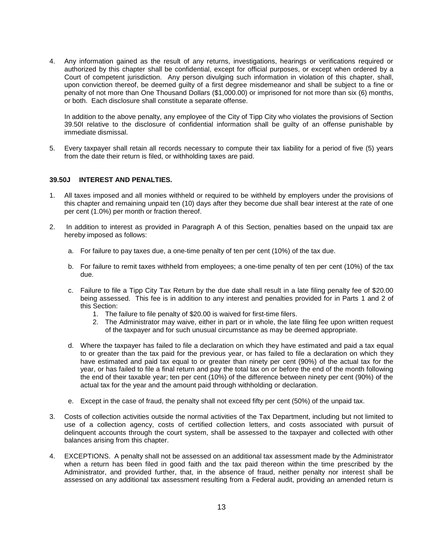4. Any information gained as the result of any returns, investigations, hearings or verifications required or authorized by this chapter shall be confidential, except for official purposes, or except when ordered by a Court of competent jurisdiction. Any person divulging such information in violation of this chapter, shall, upon conviction thereof, be deemed guilty of a first degree misdemeanor and shall be subject to a fine or penalty of not more than One Thousand Dollars (\$1,000.00) or imprisoned for not more than six (6) months, or both. Each disclosure shall constitute a separate offense.

In addition to the above penalty, any employee of the City of Tipp City who violates the provisions of Section 39.50I relative to the disclosure of confidential information shall be guilty of an offense punishable by immediate dismissal.

5. Every taxpayer shall retain all records necessary to compute their tax liability for a period of five (5) years from the date their return is filed, or withholding taxes are paid.

#### **39.50J INTEREST AND PENALTIES.**

- 1. All taxes imposed and all monies withheld or required to be withheld by employers under the provisions of this chapter and remaining unpaid ten (10) days after they become due shall bear interest at the rate of one per cent (1.0%) per month or fraction thereof.
- 2. In addition to interest as provided in Paragraph A of this Section, penalties based on the unpaid tax are hereby imposed as follows:
	- a. For failure to pay taxes due, a one-time penalty of ten per cent (10%) of the tax due.
	- b. For failure to remit taxes withheld from employees; a one-time penalty of ten per cent (10%) of the tax due.
	- c. Failure to file a Tipp City Tax Return by the due date shall result in a late filing penalty fee of \$20.00 being assessed. This fee is in addition to any interest and penalties provided for in Parts 1 and 2 of this Section:
		- 1. The failure to file penalty of \$20.00 is waived for first-time filers.
		- 2. The Administrator may waive, either in part or in whole, the late filing fee upon written request of the taxpayer and for such unusual circumstance as may be deemed appropriate.
	- d. Where the taxpayer has failed to file a declaration on which they have estimated and paid a tax equal to or greater than the tax paid for the previous year, or has failed to file a declaration on which they have estimated and paid tax equal to or greater than ninety per cent (90%) of the actual tax for the year, or has failed to file a final return and pay the total tax on or before the end of the month following the end of their taxable year; ten per cent (10%) of the difference between ninety per cent (90%) of the actual tax for the year and the amount paid through withholding or declaration.
	- e. Except in the case of fraud, the penalty shall not exceed fifty per cent (50%) of the unpaid tax.
- 3. Costs of collection activities outside the normal activities of the Tax Department, including but not limited to use of a collection agency, costs of certified collection letters, and costs associated with pursuit of delinquent accounts through the court system, shall be assessed to the taxpayer and collected with other balances arising from this chapter.
- 4. EXCEPTIONS. A penalty shall not be assessed on an additional tax assessment made by the Administrator when a return has been filed in good faith and the tax paid thereon within the time prescribed by the Administrator, and provided further, that, in the absence of fraud, neither penalty nor interest shall be assessed on any additional tax assessment resulting from a Federal audit, providing an amended return is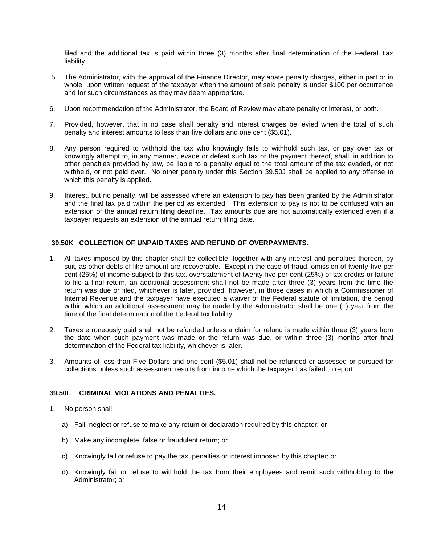filed and the additional tax is paid within three (3) months after final determination of the Federal Tax liability.

- 5. The Administrator, with the approval of the Finance Director, may abate penalty charges, either in part or in whole, upon written request of the taxpayer when the amount of said penalty is under \$100 per occurrence and for such circumstances as they may deem appropriate.
- 6. Upon recommendation of the Administrator, the Board of Review may abate penalty or interest, or both.
- 7. Provided, however, that in no case shall penalty and interest charges be levied when the total of such penalty and interest amounts to less than five dollars and one cent (\$5.01).
- 8. Any person required to withhold the tax who knowingly fails to withhold such tax, or pay over tax or knowingly attempt to, in any manner, evade or defeat such tax or the payment thereof, shall, in addition to other penalties provided by law, be liable to a penalty equal to the total amount of the tax evaded, or not withheld, or not paid over. No other penalty under this Section 39.50J shall be applied to any offense to which this penalty is applied.
- 9. Interest, but no penalty, will be assessed where an extension to pay has been granted by the Administrator and the final tax paid within the period as extended. This extension to pay is not to be confused with an extension of the annual return filing deadline. Tax amounts due are not automatically extended even if a taxpayer requests an extension of the annual return filing date.

## **39.50K COLLECTION OF UNPAID TAXES AND REFUND OF OVERPAYMENTS.**

- 1. All taxes imposed by this chapter shall be collectible, together with any interest and penalties thereon, by suit, as other debts of like amount are recoverable. Except in the case of fraud, omission of twenty-five per cent (25%) of income subject to this tax, overstatement of twenty-five per cent (25%) of tax credits or failure to file a final return, an additional assessment shall not be made after three (3) years from the time the return was due or filed, whichever is later, provided, however, in those cases in which a Commissioner of Internal Revenue and the taxpayer have executed a waiver of the Federal statute of limitation, the period within which an additional assessment may be made by the Administrator shall be one (1) year from the time of the final determination of the Federal tax liability.
- 2. Taxes erroneously paid shall not be refunded unless a claim for refund is made within three (3) years from the date when such payment was made or the return was due, or within three (3) months after final determination of the Federal tax liability, whichever is later.
- 3. Amounts of less than Five Dollars and one cent (\$5.01) shall not be refunded or assessed or pursued for collections unless such assessment results from income which the taxpayer has failed to report.

## **39.50L CRIMINAL VIOLATIONS AND PENALTIES.**

- 1. No person shall:
	- a) Fail, neglect or refuse to make any return or declaration required by this chapter; or
	- b) Make any incomplete, false or fraudulent return; or
	- c) Knowingly fail or refuse to pay the tax, penalties or interest imposed by this chapter; or
	- d) Knowingly fail or refuse to withhold the tax from their employees and remit such withholding to the Administrator; or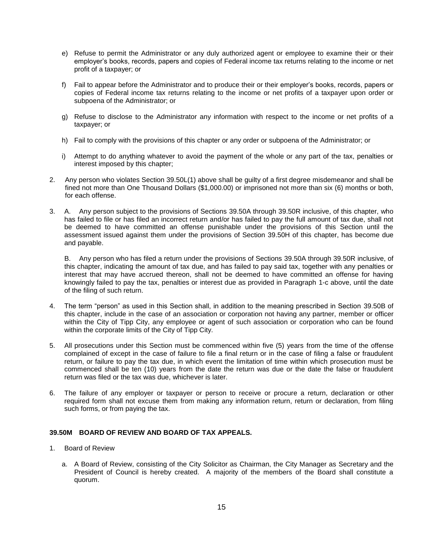- e) Refuse to permit the Administrator or any duly authorized agent or employee to examine their or their employer's books, records, papers and copies of Federal income tax returns relating to the income or net profit of a taxpayer; or
- f) Fail to appear before the Administrator and to produce their or their employer's books, records, papers or copies of Federal income tax returns relating to the income or net profits of a taxpayer upon order or subpoena of the Administrator; or
- g) Refuse to disclose to the Administrator any information with respect to the income or net profits of a taxpayer; or
- h) Fail to comply with the provisions of this chapter or any order or subpoena of the Administrator; or
- i) Attempt to do anything whatever to avoid the payment of the whole or any part of the tax, penalties or interest imposed by this chapter;
- 2. Any person who violates Section 39.50L(1) above shall be guilty of a first degree misdemeanor and shall be fined not more than One Thousand Dollars (\$1,000.00) or imprisoned not more than six (6) months or both, for each offense.
- 3. A. Any person subject to the provisions of Sections 39.50A through 39.50R inclusive, of this chapter, who has failed to file or has filed an incorrect return and/or has failed to pay the full amount of tax due, shall not be deemed to have committed an offense punishable under the provisions of this Section until the assessment issued against them under the provisions of Section 39.50H of this chapter, has become due and payable.

B. Any person who has filed a return under the provisions of Sections 39.50A through 39.50R inclusive, of this chapter, indicating the amount of tax due, and has failed to pay said tax, together with any penalties or interest that may have accrued thereon, shall not be deemed to have committed an offense for having knowingly failed to pay the tax, penalties or interest due as provided in Paragraph 1-c above, until the date of the filing of such return.

- 4. The term "person" as used in this Section shall, in addition to the meaning prescribed in Section 39.50B of this chapter, include in the case of an association or corporation not having any partner, member or officer within the City of Tipp City, any employee or agent of such association or corporation who can be found within the corporate limits of the City of Tipp City.
- 5. All prosecutions under this Section must be commenced within five (5) years from the time of the offense complained of except in the case of failure to file a final return or in the case of filing a false or fraudulent return, or failure to pay the tax due, in which event the limitation of time within which prosecution must be commenced shall be ten (10) years from the date the return was due or the date the false or fraudulent return was filed or the tax was due, whichever is later.
- 6. The failure of any employer or taxpayer or person to receive or procure a return, declaration or other required form shall not excuse them from making any information return, return or declaration, from filing such forms, or from paying the tax.

#### **39.50M BOARD OF REVIEW AND BOARD OF TAX APPEALS.**

- 1. Board of Review
	- a. A Board of Review, consisting of the City Solicitor as Chairman, the City Manager as Secretary and the President of Council is hereby created. A majority of the members of the Board shall constitute a quorum.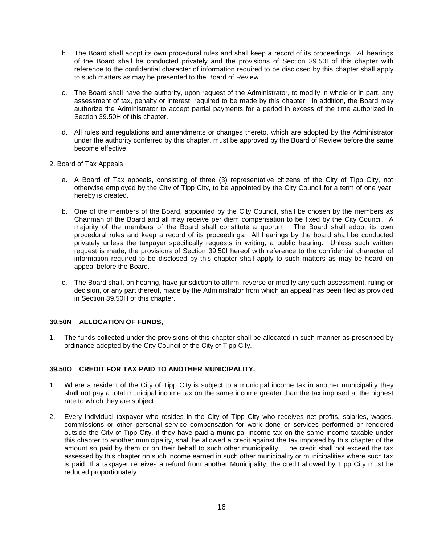- b. The Board shall adopt its own procedural rules and shall keep a record of its proceedings. All hearings of the Board shall be conducted privately and the provisions of Section 39.50I of this chapter with reference to the confidential character of information required to be disclosed by this chapter shall apply to such matters as may be presented to the Board of Review.
- c. The Board shall have the authority, upon request of the Administrator, to modify in whole or in part, any assessment of tax, penalty or interest, required to be made by this chapter. In addition, the Board may authorize the Administrator to accept partial payments for a period in excess of the time authorized in Section 39.50H of this chapter.
- d. All rules and regulations and amendments or changes thereto, which are adopted by the Administrator under the authority conferred by this chapter, must be approved by the Board of Review before the same become effective.
- 2. Board of Tax Appeals
	- a. A Board of Tax appeals, consisting of three (3) representative citizens of the City of Tipp City, not otherwise employed by the City of Tipp City, to be appointed by the City Council for a term of one year, hereby is created.
	- b. One of the members of the Board, appointed by the City Council, shall be chosen by the members as Chairman of the Board and all may receive per diem compensation to be fixed by the City Council. A majority of the members of the Board shall constitute a quorum. The Board shall adopt its own procedural rules and keep a record of its proceedings. All hearings by the board shall be conducted privately unless the taxpayer specifically requests in writing, a public hearing. Unless such written request is made, the provisions of Section 39.50I hereof with reference to the confidential character of information required to be disclosed by this chapter shall apply to such matters as may be heard on appeal before the Board.
	- c. The Board shall, on hearing, have jurisdiction to affirm, reverse or modify any such assessment, ruling or decision, or any part thereof, made by the Administrator from which an appeal has been filed as provided in Section 39.50H of this chapter.

# **39.50N ALLOCATION OF FUNDS,**

1. The funds collected under the provisions of this chapter shall be allocated in such manner as prescribed by ordinance adopted by the City Council of the City of Tipp City.

# **39.50O CREDIT FOR TAX PAID TO ANOTHER MUNICIPALITY.**

- 1. Where a resident of the City of Tipp City is subject to a municipal income tax in another municipality they shall not pay a total municipal income tax on the same income greater than the tax imposed at the highest rate to which they are subject.
- 2. Every individual taxpayer who resides in the City of Tipp City who receives net profits, salaries, wages, commissions or other personal service compensation for work done or services performed or rendered outside the City of Tipp City, if they have paid a municipal income tax on the same income taxable under this chapter to another municipality, shall be allowed a credit against the tax imposed by this chapter of the amount so paid by them or on their behalf to such other municipality. The credit shall not exceed the tax assessed by this chapter on such income earned in such other municipality or municipalities where such tax is paid. If a taxpayer receives a refund from another Municipality, the credit allowed by Tipp City must be reduced proportionately.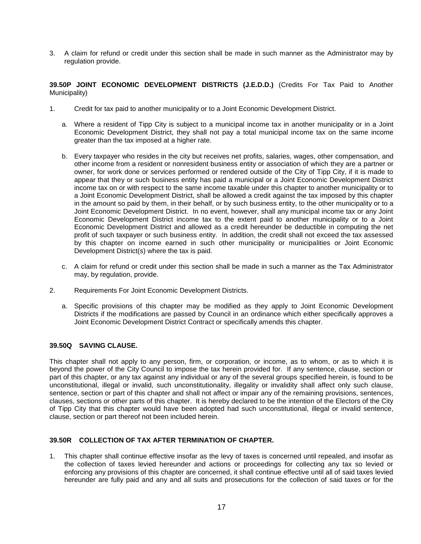3. A claim for refund or credit under this section shall be made in such manner as the Administrator may by regulation provide.

**39.50P JOINT ECONOMIC DEVELOPMENT DISTRICTS (J.E.D.D.)** (Credits For Tax Paid to Another Municipality)

- 1. Credit for tax paid to another municipality or to a Joint Economic Development District.
	- a. Where a resident of Tipp City is subject to a municipal income tax in another municipality or in a Joint Economic Development District, they shall not pay a total municipal income tax on the same income greater than the tax imposed at a higher rate.
	- b. Every taxpayer who resides in the city but receives net profits, salaries, wages, other compensation, and other income from a resident or nonresident business entity or association of which they are a partner or owner, for work done or services performed or rendered outside of the City of Tipp City, if it is made to appear that they or such business entity has paid a municipal or a Joint Economic Development District income tax on or with respect to the same income taxable under this chapter to another municipality or to a Joint Economic Development District, shall be allowed a credit against the tax imposed by this chapter in the amount so paid by them, in their behalf, or by such business entity, to the other municipality or to a Joint Economic Development District. In no event, however, shall any municipal income tax or any Joint Economic Development District income tax to the extent paid to another municipality or to a Joint Economic Development District and allowed as a credit hereunder be deductible in computing the net profit of such taxpayer or such business entity. In addition, the credit shall not exceed the tax assessed by this chapter on income earned in such other municipality or municipalities or Joint Economic Development District(s) where the tax is paid.
	- c. A claim for refund or credit under this section shall be made in such a manner as the Tax Administrator may, by regulation, provide.
- 2. Requirements For Joint Economic Development Districts.
	- a. Specific provisions of this chapter may be modified as they apply to Joint Economic Development Districts if the modifications are passed by Council in an ordinance which either specifically approves a Joint Economic Development District Contract or specifically amends this chapter.

### **39.50Q SAVING CLAUSE.**

This chapter shall not apply to any person, firm, or corporation, or income, as to whom, or as to which it is beyond the power of the City Council to impose the tax herein provided for. If any sentence, clause, section or part of this chapter, or any tax against any individual or any of the several groups specified herein, is found to be unconstitutional, illegal or invalid, such unconstitutionality, illegality or invalidity shall affect only such clause, sentence, section or part of this chapter and shall not affect or impair any of the remaining provisions, sentences, clauses, sections or other parts of this chapter. It is hereby declared to be the intention of the Electors of the City of Tipp City that this chapter would have been adopted had such unconstitutional, illegal or invalid sentence, clause, section or part thereof not been included herein.

#### **39.50R COLLECTION OF TAX AFTER TERMINATION OF CHAPTER.**

1. This chapter shall continue effective insofar as the levy of taxes is concerned until repealed, and insofar as the collection of taxes levied hereunder and actions or proceedings for collecting any tax so levied or enforcing any provisions of this chapter are concerned, it shall continue effective until all of said taxes levied hereunder are fully paid and any and all suits and prosecutions for the collection of said taxes or for the